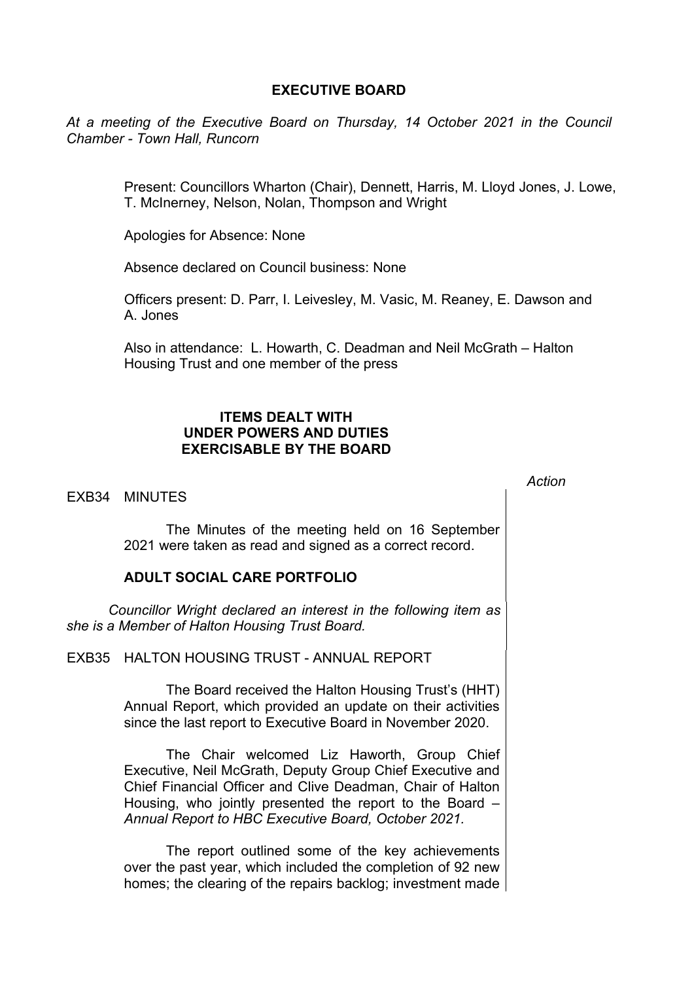## **EXECUTIVE BOARD**

*At a meeting of the Executive Board on Thursday, 14 October 2021 in the Council Chamber - Town Hall, Runcorn*

> Present: Councillors Wharton (Chair), Dennett, Harris, M. Lloyd Jones, J. Lowe, T. McInerney, Nelson, Nolan, Thompson and Wright

Apologies for Absence: None

Absence declared on Council business: None

Officers present: D. Parr, I. Leivesley, M. Vasic, M. Reaney, E. Dawson and A. Jones

Also in attendance: L. Howarth, C. Deadman and Neil McGrath – Halton Housing Trust and one member of the press

# **ITEMS DEALT WITH UNDER POWERS AND DUTIES EXERCISABLE BY THE BOARD**

## EXB34 MINUTES

*Action*

The Minutes of the meeting held on 16 September 2021 were taken as read and signed as a correct record.

#### **ADULT SOCIAL CARE PORTFOLIO**

*Councillor Wright declared an interest in the following item as she is a Member of Halton Housing Trust Board.*

EXB35 HALTON HOUSING TRUST - ANNUAL REPORT

The Board received the Halton Housing Trust's (HHT) Annual Report, which provided an update on their activities since the last report to Executive Board in November 2020.

The Chair welcomed Liz Haworth, Group Chief Executive, Neil McGrath, Deputy Group Chief Executive and Chief Financial Officer and Clive Deadman, Chair of Halton Housing, who jointly presented the report to the Board – *Annual Report to HBC Executive Board, October 2021.* 

The report outlined some of the key achievements over the past year, which included the completion of 92 new homes; the clearing of the repairs backlog; investment made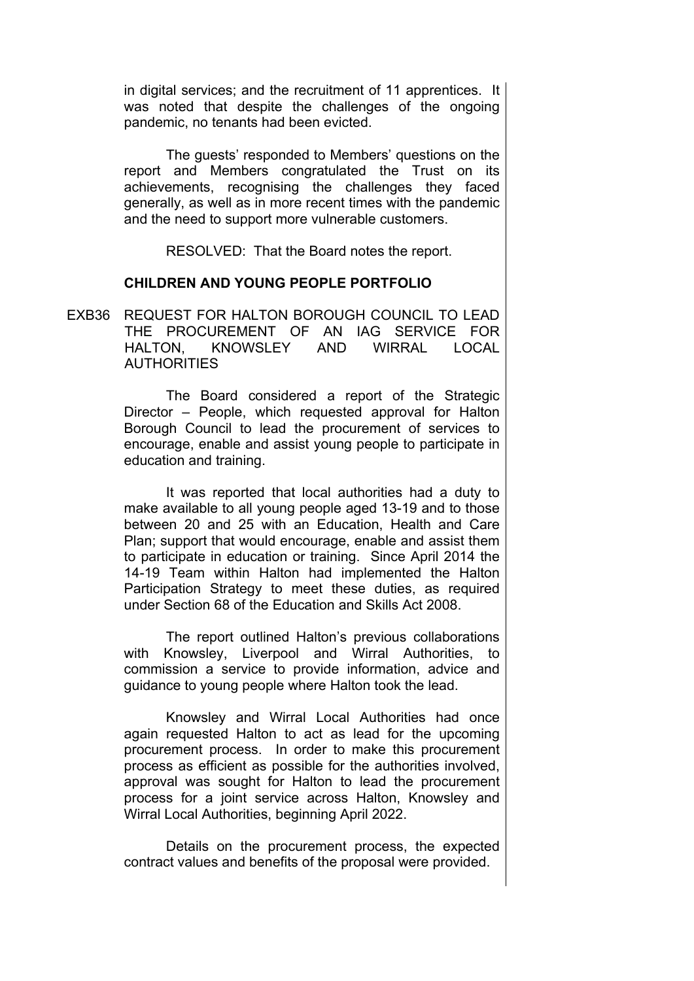in digital services; and the recruitment of 11 apprentices. It was noted that despite the challenges of the ongoing pandemic, no tenants had been evicted.

The guests' responded to Members' questions on the report and Members congratulated the Trust on its achievements, recognising the challenges they faced generally, as well as in more recent times with the pandemic and the need to support more vulnerable customers.

RESOLVED: That the Board notes the report.

## **CHILDREN AND YOUNG PEOPLE PORTFOLIO**

EXB36 REQUEST FOR HALTON BOROUGH COUNCIL TO LEAD THE PROCUREMENT OF AN IAG SERVICE FOR HALTON, KNOWSLEY AND WIRRAL LOCAL **AUTHORITIES** 

> The Board considered a report of the Strategic Director – People, which requested approval for Halton Borough Council to lead the procurement of services to encourage, enable and assist young people to participate in education and training.

> It was reported that local authorities had a duty to make available to all young people aged 13-19 and to those between 20 and 25 with an Education, Health and Care Plan; support that would encourage, enable and assist them to participate in education or training. Since April 2014 the 14-19 Team within Halton had implemented the Halton Participation Strategy to meet these duties, as required under Section 68 of the Education and Skills Act 2008.

> The report outlined Halton's previous collaborations with Knowsley, Liverpool and Wirral Authorities, to commission a service to provide information, advice and guidance to young people where Halton took the lead.

> Knowsley and Wirral Local Authorities had once again requested Halton to act as lead for the upcoming procurement process. In order to make this procurement process as efficient as possible for the authorities involved, approval was sought for Halton to lead the procurement process for a joint service across Halton, Knowsley and Wirral Local Authorities, beginning April 2022.

> Details on the procurement process, the expected contract values and benefits of the proposal were provided.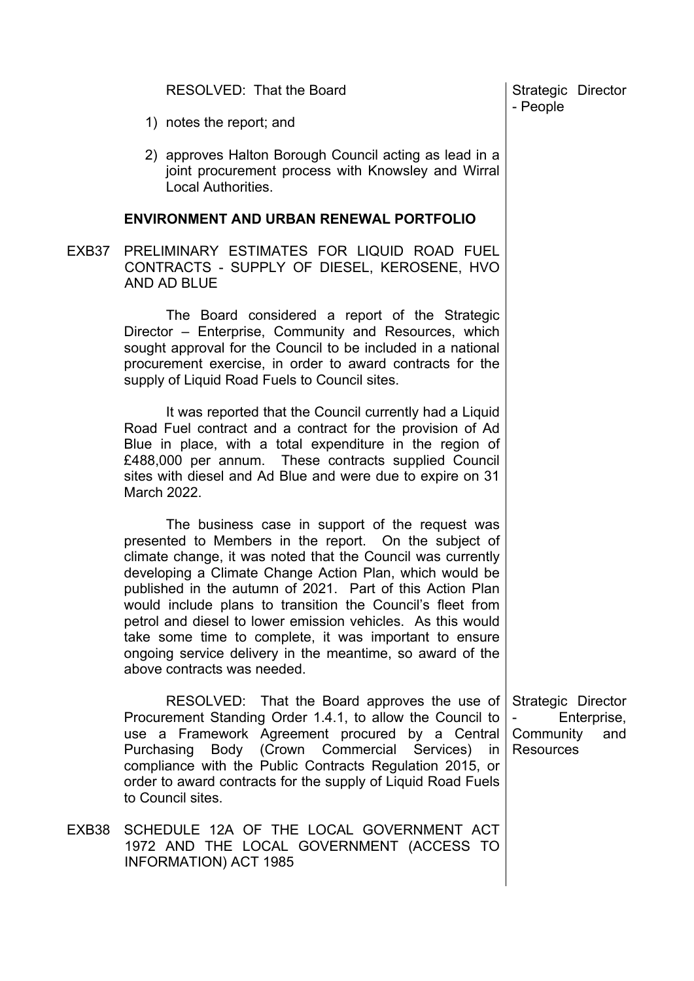|       | RESOLVED: That the Board                                                                                                                                                                                                                                                                                                                                                                                                                                                                                                                                                           | Strategic Director<br>- People                      |                    |
|-------|------------------------------------------------------------------------------------------------------------------------------------------------------------------------------------------------------------------------------------------------------------------------------------------------------------------------------------------------------------------------------------------------------------------------------------------------------------------------------------------------------------------------------------------------------------------------------------|-----------------------------------------------------|--------------------|
|       | 1) notes the report; and                                                                                                                                                                                                                                                                                                                                                                                                                                                                                                                                                           |                                                     |                    |
|       | 2) approves Halton Borough Council acting as lead in a<br>joint procurement process with Knowsley and Wirral<br><b>Local Authorities.</b>                                                                                                                                                                                                                                                                                                                                                                                                                                          |                                                     |                    |
|       | <b>ENVIRONMENT AND URBAN RENEWAL PORTFOLIO</b>                                                                                                                                                                                                                                                                                                                                                                                                                                                                                                                                     |                                                     |                    |
| EXB37 | PRELIMINARY ESTIMATES FOR LIQUID ROAD FUEL<br>CONTRACTS - SUPPLY OF DIESEL, KEROSENE, HVO<br>AND AD BLUE                                                                                                                                                                                                                                                                                                                                                                                                                                                                           |                                                     |                    |
|       | The Board considered a report of the Strategic<br>Director - Enterprise, Community and Resources, which<br>sought approval for the Council to be included in a national<br>procurement exercise, in order to award contracts for the<br>supply of Liquid Road Fuels to Council sites.                                                                                                                                                                                                                                                                                              |                                                     |                    |
|       | It was reported that the Council currently had a Liquid<br>Road Fuel contract and a contract for the provision of Ad<br>Blue in place, with a total expenditure in the region of<br>£488,000 per annum. These contracts supplied Council<br>sites with diesel and Ad Blue and were due to expire on 31<br>March 2022.                                                                                                                                                                                                                                                              |                                                     |                    |
|       | The business case in support of the request was<br>presented to Members in the report. On the subject of<br>climate change, it was noted that the Council was currently<br>developing a Climate Change Action Plan, which would be<br>published in the autumn of 2021. Part of this Action Plan<br>would include plans to transition the Council's fleet from<br>petrol and diesel to lower emission vehicles. As this would<br>take some time to complete, it was important to ensure<br>ongoing service delivery in the meantime, so award of the<br>above contracts was needed. |                                                     |                    |
|       | RESOLVED: That the Board approves the use of<br>Procurement Standing Order 1.4.1, to allow the Council to<br>use a Framework Agreement procured by a Central<br>Purchasing Body (Crown Commercial Services) in<br>compliance with the Public Contracts Regulation 2015, or<br>order to award contracts for the supply of Liquid Road Fuels<br>to Council sites.                                                                                                                                                                                                                    | Strategic Director<br>Community<br><b>Resources</b> | Enterprise,<br>and |
| EXB38 | SCHEDULE 12A OF THE LOCAL GOVERNMENT ACT<br>1972 AND THE LOCAL GOVERNMENT (ACCESS TO<br><b>INFORMATION) ACT 1985</b>                                                                                                                                                                                                                                                                                                                                                                                                                                                               |                                                     |                    |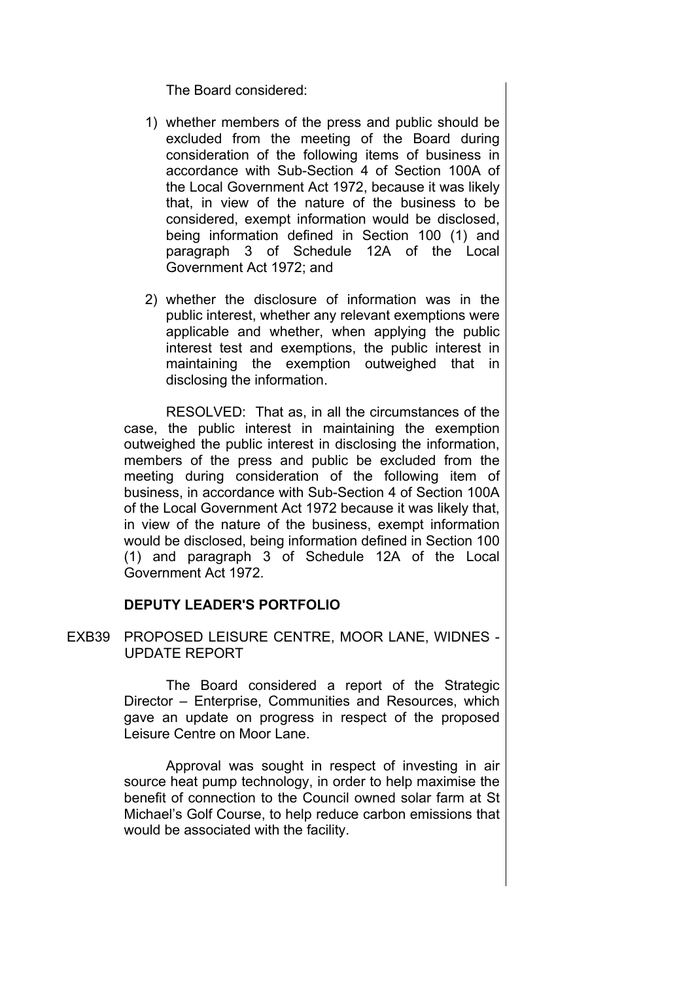The Board considered:

- 1) whether members of the press and public should be excluded from the meeting of the Board during consideration of the following items of business in accordance with Sub-Section 4 of Section 100A of the Local Government Act 1972, because it was likely that, in view of the nature of the business to be considered, exempt information would be disclosed, being information defined in Section 100 (1) and paragraph 3 of Schedule 12A of the Local Government Act 1972; and
- 2) whether the disclosure of information was in the public interest, whether any relevant exemptions were applicable and whether, when applying the public interest test and exemptions, the public interest in maintaining the exemption outweighed that in disclosing the information.

RESOLVED: That as, in all the circumstances of the case, the public interest in maintaining the exemption outweighed the public interest in disclosing the information, members of the press and public be excluded from the meeting during consideration of the following item of business, in accordance with Sub-Section 4 of Section 100A of the Local Government Act 1972 because it was likely that, in view of the nature of the business, exempt information would be disclosed, being information defined in Section 100 (1) and paragraph 3 of Schedule 12A of the Local Government Act 1972.

## **DEPUTY LEADER'S PORTFOLIO**

EXB39 PROPOSED LEISURE CENTRE, MOOR LANE, WIDNES - UPDATE REPORT

> The Board considered a report of the Strategic Director – Enterprise, Communities and Resources, which gave an update on progress in respect of the proposed Leisure Centre on Moor Lane.

> Approval was sought in respect of investing in air source heat pump technology, in order to help maximise the benefit of connection to the Council owned solar farm at St Michael's Golf Course, to help reduce carbon emissions that would be associated with the facility.